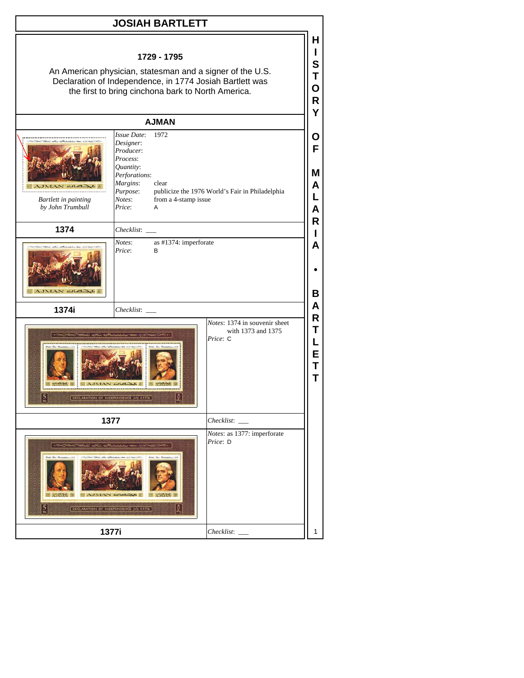## **JOSIAH BARTLETT**

**H I S T O**

## **1729 - 1795**

An American physician, statesman and a signer of the U.S. Declaration of Independence, in 1774 Josiah Bartlett was the first to bring cinchona bark to North America.

|                                                 |                                                                                                                                                   |                                                                             | R                          |
|-------------------------------------------------|---------------------------------------------------------------------------------------------------------------------------------------------------|-----------------------------------------------------------------------------|----------------------------|
|                                                 | <b>AJMAN</b>                                                                                                                                      |                                                                             | Y                          |
| <b>Bartlett in painting</b><br>by John Trumbull | Issue Date:<br>1972<br>Designer:<br>Producer:<br>Process:<br>Quantity:<br>Perforations:<br>Margins:<br>clear<br>Purpose:<br>Notes:<br>Price:<br>Α | publicize the 1976 World's Fair in Philadelphia<br>from a 4-stamp issue     | O<br>F<br>M<br>A<br>L<br>A |
| 1374                                            | Checklist:                                                                                                                                        |                                                                             | R<br>L                     |
| A.IMAN                                          | Notes:<br>Price:<br>В                                                                                                                             | as #1374: imperforate                                                       | A<br>В                     |
| 1374i                                           | Checklist:                                                                                                                                        |                                                                             | A                          |
| <b>BO AJMAN AL</b><br>$H = 36$<br>5             | $\overline{A}$<br>西米点冰<br>DECLARATION OF INDEPENDENCE July 4-1776                                                                                 | Notes: 1374 in souvenir sheet<br>with 1373 and 1375<br>Price: C<br>$\Omega$ | R<br>Т<br>L<br>E<br>T<br>T |
|                                                 | 1377                                                                                                                                              |                                                                             |                            |
|                                                 | DECLARATION OF INDEPENDENCE July 4-1776                                                                                                           | Notes: as 1377: imperforate<br>Price: D<br>Q,                               |                            |
|                                                 | 1377i                                                                                                                                             | Checklist:                                                                  | 1                          |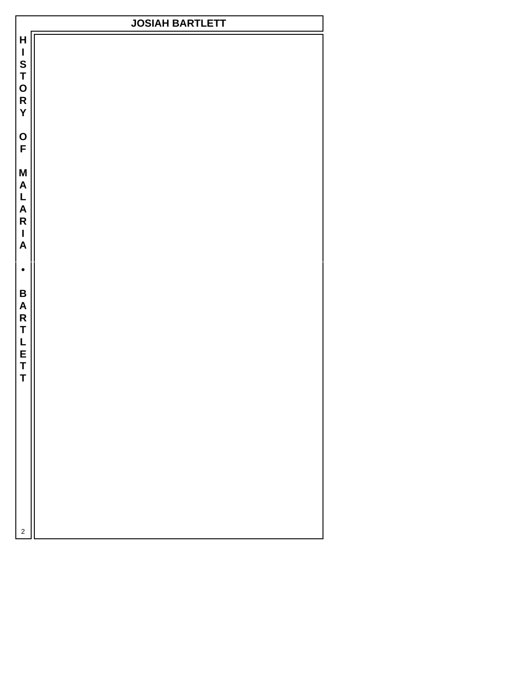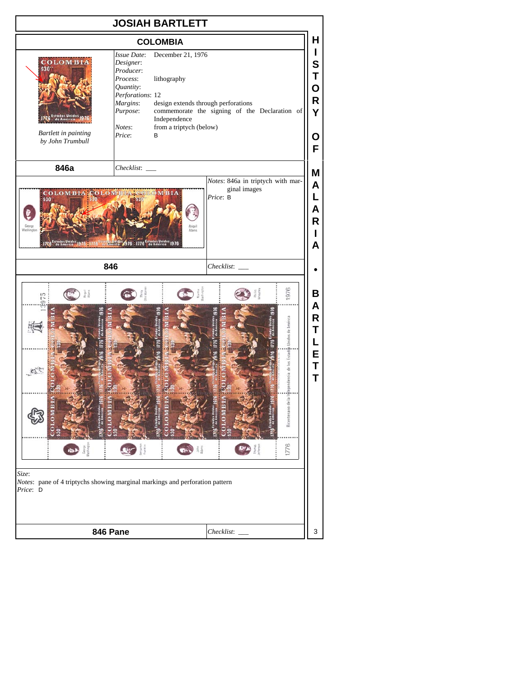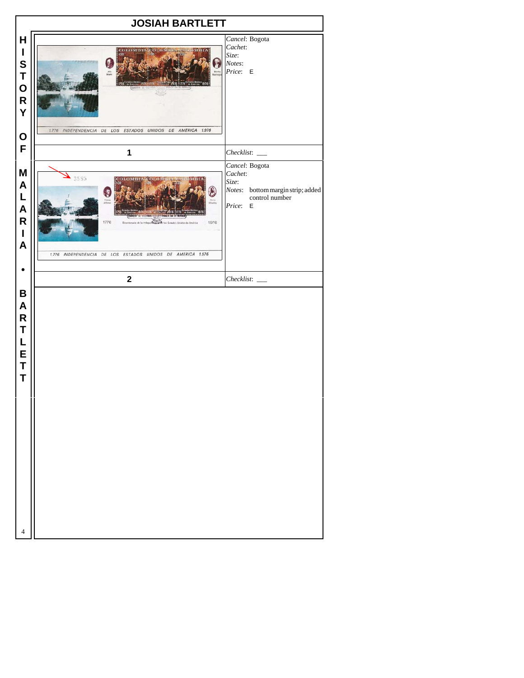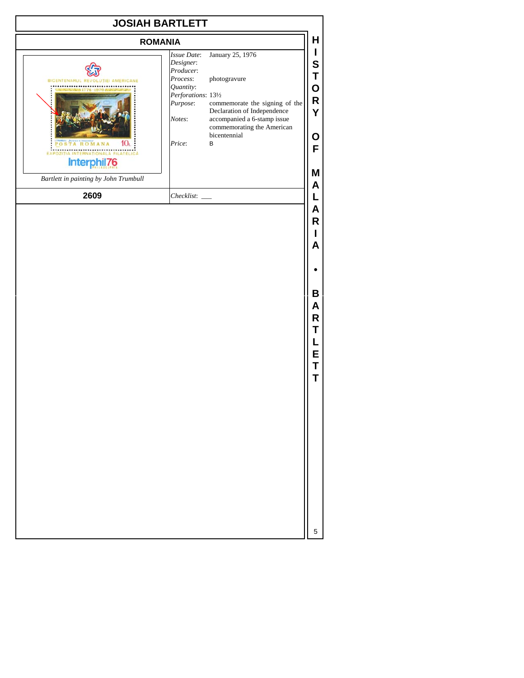|                                                                                                                                                                                                                  | <b>JOSIAH BARTLETT</b>                                                                                                                                                                                                                                  |
|------------------------------------------------------------------------------------------------------------------------------------------------------------------------------------------------------------------|---------------------------------------------------------------------------------------------------------------------------------------------------------------------------------------------------------------------------------------------------------|
| <b>ROMANIA</b>                                                                                                                                                                                                   | Н                                                                                                                                                                                                                                                       |
| Issue Date:<br>Designer:<br>Producer:<br>Process:<br>BICENTENARUL RE<br><b>IEL AMERICANE</b><br>Quantity:<br>Purpose:<br>Notes:<br>Price:<br>EX<br><b>Interph</b><br>76<br>Bartlett in painting by John Trumbull | L<br>January 25, 1976<br>S<br>Τ<br>photogravure<br>O<br>Perforations: 131/2<br>R<br>commemorate the signing of the<br>Declaration of Independence<br>Y<br>accompanied a 6-stamp issue<br>commemorating the American<br>bicentennial<br>O<br>В<br>F<br>Μ |
| 2609<br>Checklist:                                                                                                                                                                                               | A<br>L                                                                                                                                                                                                                                                  |
|                                                                                                                                                                                                                  | Α<br>R<br>ı<br>A                                                                                                                                                                                                                                        |
|                                                                                                                                                                                                                  |                                                                                                                                                                                                                                                         |
|                                                                                                                                                                                                                  | В<br>Α<br>R<br>Τ<br>L<br>E<br>Т<br>Т                                                                                                                                                                                                                    |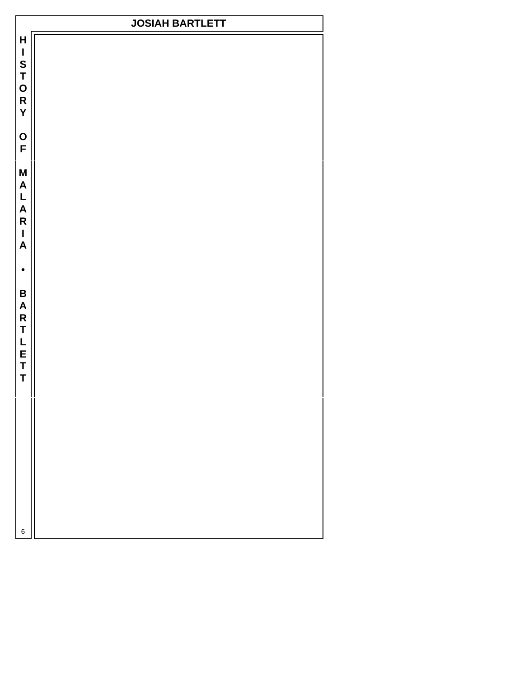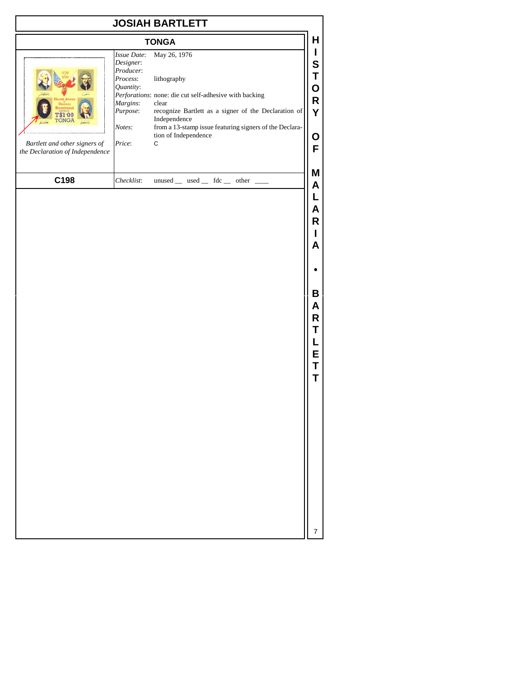|                                                                                     |                                                                                                            | <b>JOSIAH BARTLETT</b>                                                                                                                                                                                                                                         |                                      |
|-------------------------------------------------------------------------------------|------------------------------------------------------------------------------------------------------------|----------------------------------------------------------------------------------------------------------------------------------------------------------------------------------------------------------------------------------------------------------------|--------------------------------------|
|                                                                                     |                                                                                                            | <b>TONGA</b>                                                                                                                                                                                                                                                   | H                                    |
| \$1.00<br>TÓNGA<br>Bartlett and other signers of<br>the Declaration of Independence | Issue Date:<br>Designer:<br>Producer:<br>Process:<br>Quantity:<br>Margins:<br>Purpose:<br>Notes:<br>Price: | May 26, 1976<br>lithography<br>Perforations: none: die cut self-adhesive with backing<br>clear<br>recognize Bartlett as a signer of the Declaration of<br>Independence<br>from a 13-stamp issue featuring signers of the Declara-<br>tion of Independence<br>С | I<br>S<br>Τ<br>O<br>R<br>Y<br>O<br>F |
| C198                                                                                | Checklist:                                                                                                 | unused __ used __ fdc __ other _                                                                                                                                                                                                                               | Μ<br>A                               |
|                                                                                     |                                                                                                            |                                                                                                                                                                                                                                                                | L<br>Α<br>R<br>A                     |
|                                                                                     |                                                                                                            |                                                                                                                                                                                                                                                                | В<br>A<br>R<br>Τ<br>L<br>E<br>Τ<br>Т |
|                                                                                     |                                                                                                            |                                                                                                                                                                                                                                                                |                                      |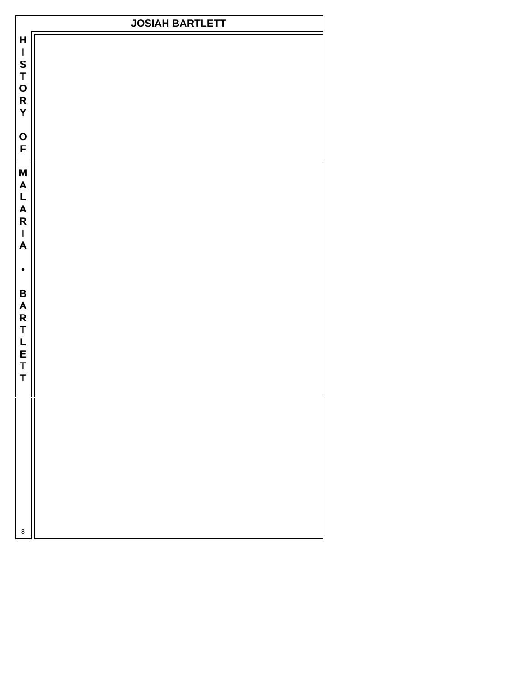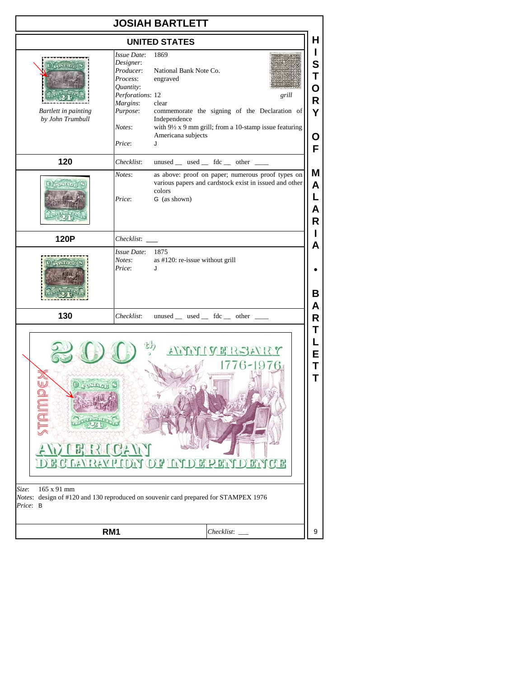|                                                                                                                                                                                                         |                                                                                                                                       | <b>JOSIAH BARTLETT</b>                                                                                                                                                                                                      |                                 |  |
|---------------------------------------------------------------------------------------------------------------------------------------------------------------------------------------------------------|---------------------------------------------------------------------------------------------------------------------------------------|-----------------------------------------------------------------------------------------------------------------------------------------------------------------------------------------------------------------------------|---------------------------------|--|
|                                                                                                                                                                                                         |                                                                                                                                       | <b>UNITED STATES</b>                                                                                                                                                                                                        | Н                               |  |
| POSTTOL<br>Bartlett in painting<br>by John Trumbull                                                                                                                                                     | <b>Issue Date:</b><br>Designer:<br>Producer:<br>Process:<br>Quantity:<br>Perforations: 12<br>Margins:<br>Purpose:<br>Notes:<br>Price: | 1869<br>National Bank Note Co.<br>engraved<br>grill<br>clear<br>commemorate the signing of the Declaration of<br>Independence<br>with $9\frac{1}{2}x9$ mm grill; from a 10-stamp issue featuring<br>Americana subjects<br>J | L<br>S<br>Т<br>O<br>R<br>Y<br>Ο |  |
| 120                                                                                                                                                                                                     | Checklist:                                                                                                                            | unused __ used __ fdc __ other ___                                                                                                                                                                                          | F                               |  |
| $\left( 0\right)$ position (s)                                                                                                                                                                          | Notes:<br>Price:                                                                                                                      | as above: proof on paper; numerous proof types on<br>various papers and cardstock exist in issued and other<br>colors<br>G (as shown)                                                                                       | Μ<br>A<br>L<br>А<br>R           |  |
| 120P                                                                                                                                                                                                    |                                                                                                                                       |                                                                                                                                                                                                                             | Α                               |  |
|                                                                                                                                                                                                         | <i>Issue Date:</i><br>Notes:<br>Price:                                                                                                | 1875<br>as #120: re-issue without grill<br>J                                                                                                                                                                                | в                               |  |
| 130                                                                                                                                                                                                     | Checklist:                                                                                                                            | unused $\_\$ used $\_\$ fdc $\_\$ other $\_\_$                                                                                                                                                                              | Α<br>R                          |  |
| Т<br>L<br>EXPORT CONTROL<br>E<br>Т<br>т<br>RIGAW<br><u>GLAVISATION OF ITADE BEADENCE</u><br>165 x 91 mm<br>Size:<br>Notes: design of #120 and 130 reproduced on souvenir card prepared for STAMPEX 1976 |                                                                                                                                       |                                                                                                                                                                                                                             |                                 |  |
| Price: B                                                                                                                                                                                                |                                                                                                                                       |                                                                                                                                                                                                                             | 9                               |  |
|                                                                                                                                                                                                         | RM <sub>1</sub><br>Checklist:                                                                                                         |                                                                                                                                                                                                                             |                                 |  |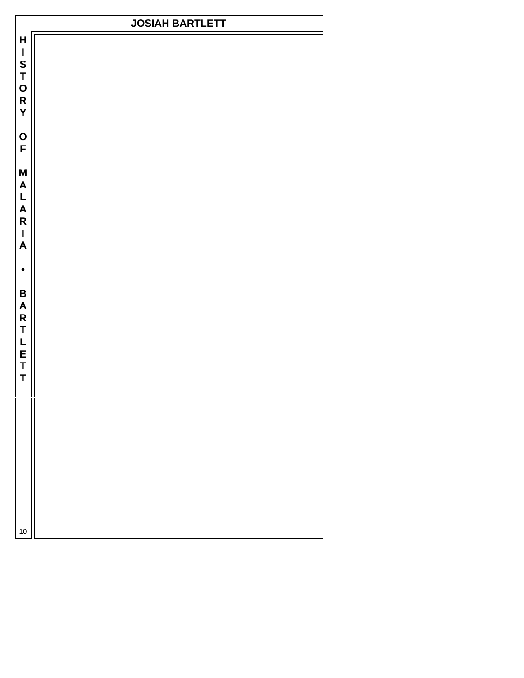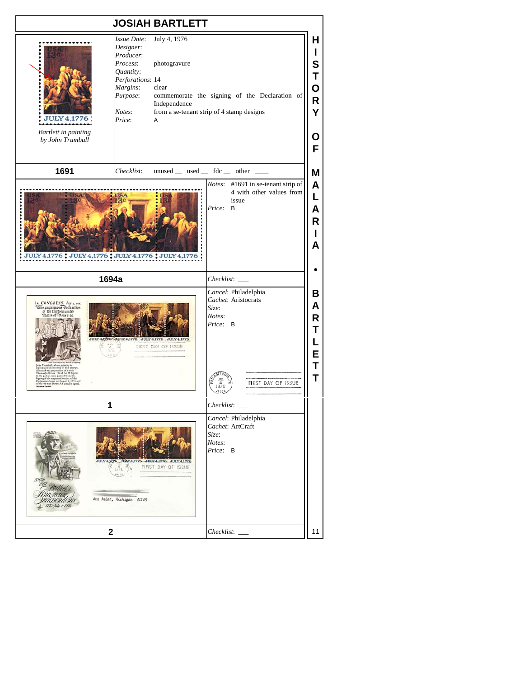## **JOSIAH BARTLETT** *Issue Date*: July 4, 1976 **H** *Designer*: **I** *Producer*: *Process*: photogravure **S** *Quantity*: **T** *Perforations*: 14 **O** *Margins*: clear *Purpose*: commemorate the signing of the Declaration of **R** Independence *Notes*: from a se-tenant strip of 4 stamp designs **Y JULY 4,1776** *Price*: A *Bartlett in painting* **O** *by John Trumbull* **F 1691**  $Checklist:$   $unused$   $used$   $fdc$  other **M** *Notes*: #1691 in se-tenant strip of **A** 4 with other values from **L** issue **Contract of the contract** *Price*: B **A R I A** JULY 4,1776 : JULY 4,1776 : JULY 4,1776 : JULY 4,1776 **• 1694a** *Checklist*: \_\_\_ *Cancel*: Philadelphia **B** *Cachet*: Aristocrats CONGRESS Av **A** e o se estas any a est<br>or unaniment Peclaration<br>States of "Muterica *Size*: *Notes*: **R** *Price*: B **T**  $51/1N$ 4.1776 JULY 4,1776 JULY 4,1776 **L** 7 Ξ FIRST DAY OF ISSUE **E T SADELPA T**  $\frac{301}{4}$ FIRST DAY OF ISSUE  $18104$ **1** *Checklist*: \_\_\_ *Cancel*: Philadelphia *Cachet*: ArtCraft *Size*: *Notes*: *Price*: B  $1.1276$ 10 N.4.1776 JULY 4.1776 JULY 4,1776  $\frac{16}{2}$ FIRST DAY OF ISSUE  $1376$  $J_{B10}h$ Aun Arbor, Michigan 48105 rudependence **2** *Checklist*: \_\_\_ 11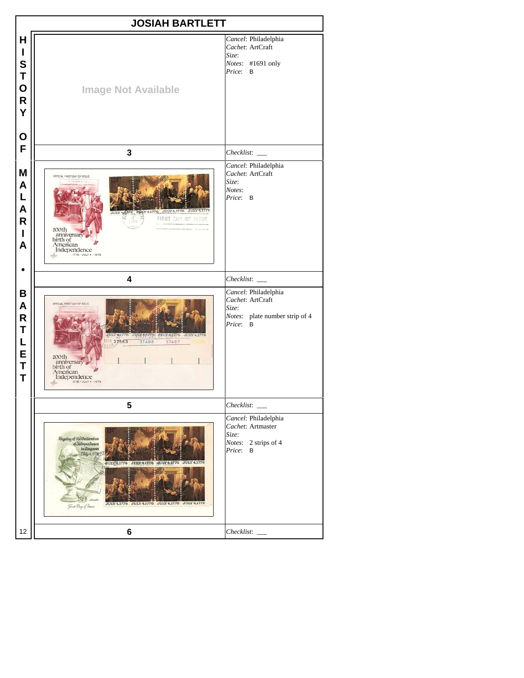|                                                            | <b>JOSIAH BARTLETT</b>                                                                                                                                                                                   |                                                                                                 |
|------------------------------------------------------------|----------------------------------------------------------------------------------------------------------------------------------------------------------------------------------------------------------|-------------------------------------------------------------------------------------------------|
| Н<br>L<br>S<br>Τ<br>O<br>$\mathsf{R}$<br>Ý                 | <b>Image Not Available</b>                                                                                                                                                                               | Cancel: Philadelphia<br>Cachet: ArtCraft<br>Size:<br>Notes: #1691 only<br>Price: B              |
| Ο<br>F                                                     |                                                                                                                                                                                                          |                                                                                                 |
|                                                            | $\mathbf{3}$                                                                                                                                                                                             | Checklist:                                                                                      |
| M<br>A<br>L<br>A<br>R<br>Α                                 | DFFICIAL FIRST DAY OF ISSUE<br>Y4,1776 JULY 4,1776 JULY 4,1776<br>FIRST DAY OF ISSUE<br>200th<br>anniversary<br>birth of<br>American<br>Independence<br>1776 - JULY 4 - 1976<br>ration                   | Cancel: Philadelphia<br>Cachet: ArtCraft<br>Size:<br>Notes:<br>Price: B                         |
|                                                            | 4                                                                                                                                                                                                        | Checklist:                                                                                      |
| В<br>A<br>$\overline{\mathsf{R}}$<br>T<br>L<br>E<br>Τ<br>Τ | OFFICIAL FIRST DAY OF ISSUE<br>IULY 4 1776<br>JULY 64770 0ULY 61776 JULY 4,1776<br>8 37563<br>37488<br>37487<br>200th<br>anniversary<br>birth of<br>American<br>Independence<br>1776 - JULY 4 - 1976     | Cancel: Philadelphia<br>Cachet: ArtCraft<br>Size:<br>Notes: plate number strip of 4<br>Price: B |
|                                                            | 5                                                                                                                                                                                                        |                                                                                                 |
|                                                            | Signing of the Occlaration<br>of Judependence<br>Sidiy 4.1778<br>JULY 4,1776<br>JURN 4.1776 AULY 4,1776<br>JULY 4,1776<br>JULY 4,1776 JULY 4,1776 JULY 4,177<br><b>JULY 4.1776</b><br>First Day of Issue | Cancel: Philadelphia<br>Cachet: Artmaster<br>Size:<br>Notes: 2 strips of 4<br>Price:<br>В       |
| 12                                                         | 6                                                                                                                                                                                                        | Checklist:                                                                                      |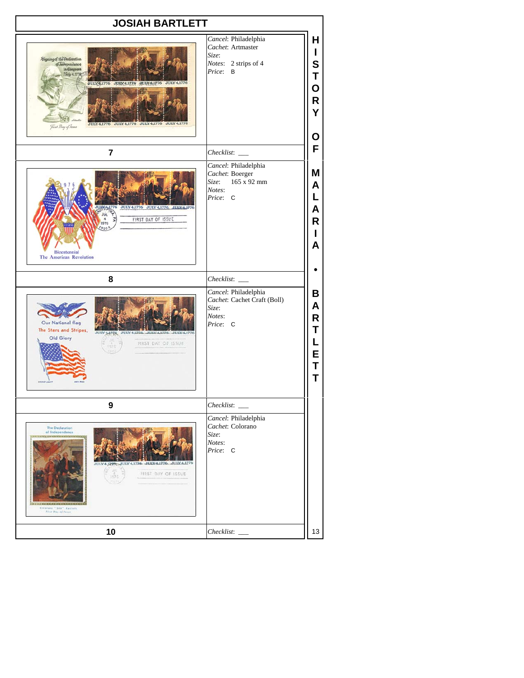| Cancel: Philadelphia<br>Cachet: Artmaster<br>Size:<br>Signing of the Occlaration<br>Notes: 2 strips of 4<br>of Judependence<br>In Congress<br>Price:<br>B<br>Skifu 4.1778<br>JULY 1776 JULY 1.1776 SULY 4,1776 JULY 4,177<br>JULY 4,1776 JULY 4,1776 JULY 4,1776 JULY 4,177<br>First Day of Issue<br>Ο<br>7<br>Checklist:<br>Cancel: Philadelphia<br>Cachet: Boerger<br>165 x 92 mm<br>Size:<br>Notes:<br>Price: C<br>ULV4,1776 JULY4,1776 JULY4,1776 JULY4,1776<br>JUL<br>FIRST DAY OF ISSUE<br>1976<br>(910)<br><b>Bicentennial</b><br>The American Revolution<br>8<br>Checklist:<br>Cancel: Philadelphia<br>Cachet: Cachet Craft (Boll)<br>Size:<br>Notes:<br>Our National flag<br>Price: C<br>The Stars and Stripes,<br>ULY 4,1226  JULY 4,1226.<br>JUIX4.17<br>Old Glory<br>FIRST DAY OF ISSUE<br>9<br>Checklist:<br>Cancel: Philadelphia<br>Cachet: Colorano<br><b>The Declaration</b><br>of Independence<br>Size:<br><b><i><b><i><u>A ROCKWAY KATANA (A ROCK)</u></i></b></i></b><br>Notes:<br>Price: C<br>4.1270; UULY 4.1776 JULY 4.17<br>$\frac{4\pi}{375}$<br>FIRST DAY OF ISSUE<br>Colorano "Lita" Cacheto<br>First Day of Force<br>10<br>Checklist: | <b>JOSIAH BARTLETT</b> |                                 |  |
|------------------------------------------------------------------------------------------------------------------------------------------------------------------------------------------------------------------------------------------------------------------------------------------------------------------------------------------------------------------------------------------------------------------------------------------------------------------------------------------------------------------------------------------------------------------------------------------------------------------------------------------------------------------------------------------------------------------------------------------------------------------------------------------------------------------------------------------------------------------------------------------------------------------------------------------------------------------------------------------------------------------------------------------------------------------------------------------------------------------------------------------------------------------|------------------------|---------------------------------|--|
|                                                                                                                                                                                                                                                                                                                                                                                                                                                                                                                                                                                                                                                                                                                                                                                                                                                                                                                                                                                                                                                                                                                                                                  |                        | н<br>S<br>Т<br>O<br>R<br>Y      |  |
|                                                                                                                                                                                                                                                                                                                                                                                                                                                                                                                                                                                                                                                                                                                                                                                                                                                                                                                                                                                                                                                                                                                                                                  |                        | F                               |  |
|                                                                                                                                                                                                                                                                                                                                                                                                                                                                                                                                                                                                                                                                                                                                                                                                                                                                                                                                                                                                                                                                                                                                                                  |                        | Μ<br>Α<br>L<br>Α<br>R<br>A      |  |
|                                                                                                                                                                                                                                                                                                                                                                                                                                                                                                                                                                                                                                                                                                                                                                                                                                                                                                                                                                                                                                                                                                                                                                  |                        |                                 |  |
|                                                                                                                                                                                                                                                                                                                                                                                                                                                                                                                                                                                                                                                                                                                                                                                                                                                                                                                                                                                                                                                                                                                                                                  |                        | В<br>A<br>R<br>T<br>E<br>Τ<br>Т |  |
|                                                                                                                                                                                                                                                                                                                                                                                                                                                                                                                                                                                                                                                                                                                                                                                                                                                                                                                                                                                                                                                                                                                                                                  |                        |                                 |  |
|                                                                                                                                                                                                                                                                                                                                                                                                                                                                                                                                                                                                                                                                                                                                                                                                                                                                                                                                                                                                                                                                                                                                                                  |                        |                                 |  |
|                                                                                                                                                                                                                                                                                                                                                                                                                                                                                                                                                                                                                                                                                                                                                                                                                                                                                                                                                                                                                                                                                                                                                                  |                        | 13                              |  |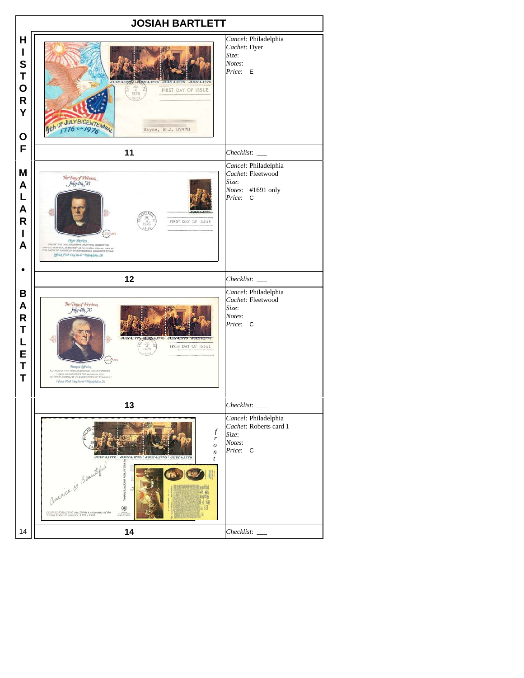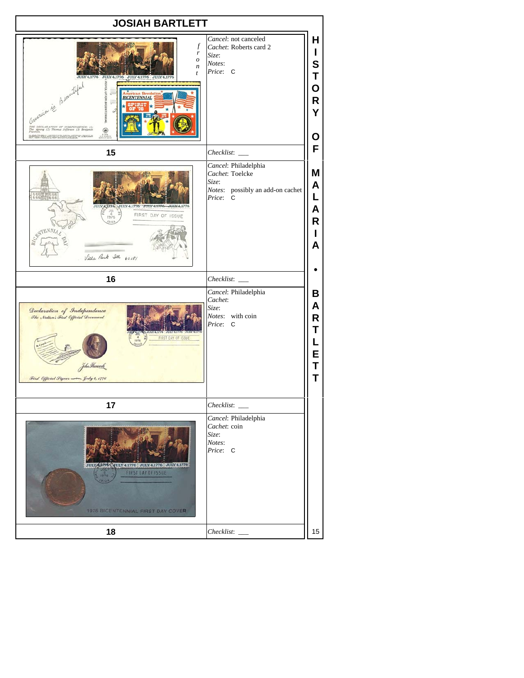| Cancel: not canceled<br>$\mathcal{f}$<br>Cachet: Roberts card 2<br>L<br>r<br>Size:<br>$\boldsymbol{o}$<br>Notes:<br>n<br>Price: C<br>t<br>Т<br>Y4,1776 JULY 4,1776 JULY 4,1776 JULY<br><b>FEVOLUTION BICENTENNIAL</b><br>Comenication de Brandified<br>÷<br>ican Revoluti<br>THE DECLARATION OF INDEPENDENCE: (1)<br>The signing (2) Thomas Jefferson (3) Benjamin<br>Franklin<br>METHOD TAXABLE CONSTRUCTION AND INSTALL<br>F<br>15<br>Checklist:<br>Cancel: Philadelphia<br>Cachet: Toelcke<br>Size:<br>Notes: possibly an add-on cachet<br>L<br>Price: C<br>JULY 4,1776 JULY 4,1776 JULY 4,1776<br>JULY A1226<br>FIRST DAY OF ISSUE<br>1976<br>Н<br>Villa Park Ill 60181<br>16<br>$Checklist:$ $\_\_$<br>Cancel: Philadelphia<br>Cachet:<br>Size:<br>Declaration of Independence<br>Notes: with coin<br>The Nation's First Official Decument<br>Price: C<br>Т<br><b>INCREAS PRINCIPAL CONTROL</b><br>FIRST DAY OF ISSUE<br>L<br>E<br>John Hancock<br>Т<br>т<br>First Official Signer - July 4, 1776<br>17<br>Checklist:<br>Cancel: Philadelphia<br>Cachet: coin<br>Size:<br>Notes:<br>Price: C<br>JULY 61786, YULY 4.1776 : JULY 4.1776 : JULY 4.1776<br><b>FIRST DAY OF ISSUE</b><br>1976 BICENTENNIAL FIRST DAY COVER<br>18<br>Checklist:<br>15 | <b>JOSIAH BARTLETT</b> |                            |  |
|------------------------------------------------------------------------------------------------------------------------------------------------------------------------------------------------------------------------------------------------------------------------------------------------------------------------------------------------------------------------------------------------------------------------------------------------------------------------------------------------------------------------------------------------------------------------------------------------------------------------------------------------------------------------------------------------------------------------------------------------------------------------------------------------------------------------------------------------------------------------------------------------------------------------------------------------------------------------------------------------------------------------------------------------------------------------------------------------------------------------------------------------------------------------------------------------------------------------------------------------------|------------------------|----------------------------|--|
|                                                                                                                                                                                                                                                                                                                                                                                                                                                                                                                                                                                                                                                                                                                                                                                                                                                                                                                                                                                                                                                                                                                                                                                                                                                      |                        | Н<br>S<br>О<br>R<br>Y<br>Ο |  |
|                                                                                                                                                                                                                                                                                                                                                                                                                                                                                                                                                                                                                                                                                                                                                                                                                                                                                                                                                                                                                                                                                                                                                                                                                                                      |                        |                            |  |
|                                                                                                                                                                                                                                                                                                                                                                                                                                                                                                                                                                                                                                                                                                                                                                                                                                                                                                                                                                                                                                                                                                                                                                                                                                                      |                        | Μ<br>A<br>Α<br>R<br>A      |  |
|                                                                                                                                                                                                                                                                                                                                                                                                                                                                                                                                                                                                                                                                                                                                                                                                                                                                                                                                                                                                                                                                                                                                                                                                                                                      |                        |                            |  |
|                                                                                                                                                                                                                                                                                                                                                                                                                                                                                                                                                                                                                                                                                                                                                                                                                                                                                                                                                                                                                                                                                                                                                                                                                                                      |                        | В<br>Α<br>R                |  |
|                                                                                                                                                                                                                                                                                                                                                                                                                                                                                                                                                                                                                                                                                                                                                                                                                                                                                                                                                                                                                                                                                                                                                                                                                                                      |                        |                            |  |
|                                                                                                                                                                                                                                                                                                                                                                                                                                                                                                                                                                                                                                                                                                                                                                                                                                                                                                                                                                                                                                                                                                                                                                                                                                                      |                        |                            |  |
|                                                                                                                                                                                                                                                                                                                                                                                                                                                                                                                                                                                                                                                                                                                                                                                                                                                                                                                                                                                                                                                                                                                                                                                                                                                      |                        |                            |  |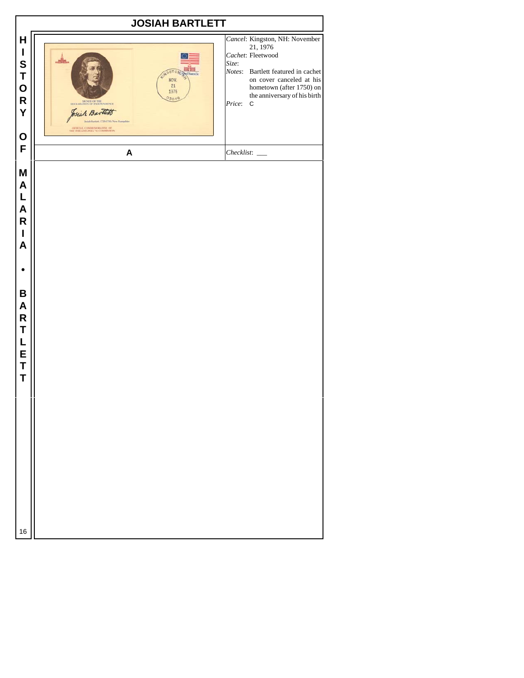|                                                                                                                        | <b>JOSIAH BARTLETT</b>                                                                                                                                                                                                  |                                                                                                                                                                                                                                 |
|------------------------------------------------------------------------------------------------------------------------|-------------------------------------------------------------------------------------------------------------------------------------------------------------------------------------------------------------------------|---------------------------------------------------------------------------------------------------------------------------------------------------------------------------------------------------------------------------------|
| H<br>$\mathbf I$<br>S<br>T<br>O<br>R<br>Y                                                                              | <b>195</b><br>STOM<br>NOV.<br>21<br>1976<br>03848<br>SICKELO THE DECLARATION OF INDEPENDENCE<br>Josiah Bartlett<br>Josiah Bartlett, 1728-1795/New Hampshire<br>OFFICIAL COMMEMORATIVE OF THE PHILADELPHIA 76 COMMESSION | Cancel: Kingston, NH: November<br>21, 1976<br>Cachet: Fleetwood<br>Size:<br>Notes: Bartlett featured in cachet<br>on cover canceled at his<br>hometown (after 1750) on<br>the anniversary of his birth<br>Price:<br>$\mathbf C$ |
| $\mathbf O$<br>F                                                                                                       | A                                                                                                                                                                                                                       |                                                                                                                                                                                                                                 |
| M<br>A<br>L<br>A<br>$\overline{\mathsf{R}}$<br>$\mathbf I$<br>$\boldsymbol{A}$<br>B<br>A<br>R<br>T<br>L<br>E<br>T<br>T |                                                                                                                                                                                                                         |                                                                                                                                                                                                                                 |
| 16                                                                                                                     |                                                                                                                                                                                                                         |                                                                                                                                                                                                                                 |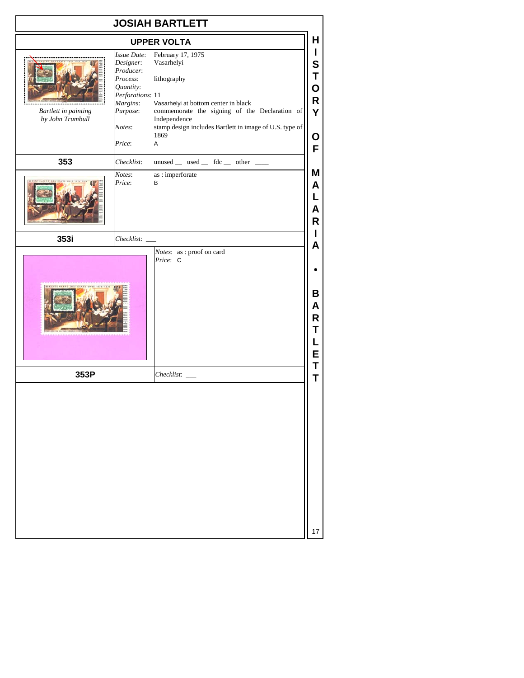|                                                 |                                                                                                                                | <b>JOSIAH BARTLETT</b>                                                                                                                                                                                                                                        |
|-------------------------------------------------|--------------------------------------------------------------------------------------------------------------------------------|---------------------------------------------------------------------------------------------------------------------------------------------------------------------------------------------------------------------------------------------------------------|
|                                                 |                                                                                                                                | н<br><b>UPPER VOLTA</b>                                                                                                                                                                                                                                       |
| <b>Bartlett in painting</b><br>by John Trumbull | Issue Date:<br>Designer:<br>Producer:<br>Process:<br>Quantity:<br>Perforations: 11<br>Margins:<br>Purpose:<br>Notes:<br>Price: | February 17, 1975<br>Vasarhelyi<br>S<br>lithography<br>O<br>R<br>Vasarhelyi at bottom center in black<br>commemorate the signing of the Declaration of<br>Y<br>Independence<br>stamp design includes Bartlett in image of U.S. type of<br>1869<br>О<br>Α<br>F |
| 353                                             | Checklist:                                                                                                                     | $unused$ __ used __ fdc __ other __                                                                                                                                                                                                                           |
|                                                 | Notes:<br>Price:                                                                                                               | Μ<br>as: imperforate<br>В<br>Α<br>Α<br>R                                                                                                                                                                                                                      |
| 353i                                            | Checklist:                                                                                                                     | A                                                                                                                                                                                                                                                             |
|                                                 |                                                                                                                                | В<br>A<br>R<br>E                                                                                                                                                                                                                                              |
| 353P                                            |                                                                                                                                | Τ<br>Checklist:<br>T                                                                                                                                                                                                                                          |
|                                                 |                                                                                                                                |                                                                                                                                                                                                                                                               |